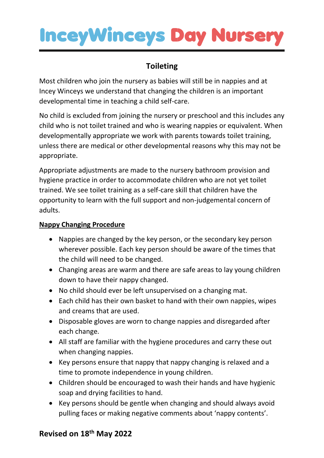### **InceyWinceys Day Nurser**

### **Toileting**

Most children who join the nursery as babies will still be in nappies and at Incey Winceys we understand that changing the children is an important developmental time in teaching a child self-care.

No child is excluded from joining the nursery or preschool and this includes any child who is not toilet trained and who is wearing nappies or equivalent. When developmentally appropriate we work with parents towards toilet training, unless there are medical or other developmental reasons why this may not be appropriate.

Appropriate adjustments are made to the nursery bathroom provision and hygiene practice in order to accommodate children who are not yet toilet trained. We see toilet training as a self-care skill that children have the opportunity to learn with the full support and non-judgemental concern of adults.

#### **Nappy Changing Procedure**

- Nappies are changed by the key person, or the secondary key person wherever possible. Each key person should be aware of the times that the child will need to be changed.
- Changing areas are warm and there are safe areas to lay young children down to have their nappy changed.
- No child should ever be left unsupervised on a changing mat.
- Each child has their own basket to hand with their own nappies, wipes and creams that are used.
- Disposable gloves are worn to change nappies and disregarded after each change.
- All staff are familiar with the hygiene procedures and carry these out when changing nappies.
- Key persons ensure that nappy that nappy changing is relaxed and a time to promote independence in young children.
- Children should be encouraged to wash their hands and have hygienic soap and drying facilities to hand.
- Key persons should be gentle when changing and should always avoid pulling faces or making negative comments about 'nappy contents'.

#### **Revised on 18th May 2022**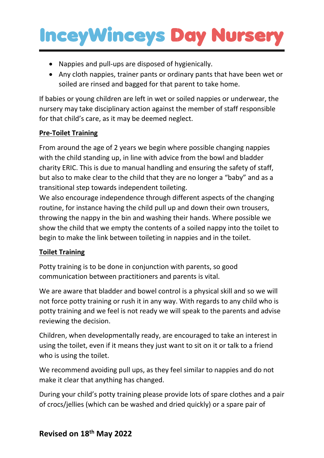## **InceyWinceys Day Nurser**

- Nappies and pull-ups are disposed of hygienically.
- Any cloth nappies, trainer pants or ordinary pants that have been wet or soiled are rinsed and bagged for that parent to take home.

If babies or young children are left in wet or soiled nappies or underwear, the nursery may take disciplinary action against the member of staff responsible for that child's care, as it may be deemed neglect.

#### **Pre-Toilet Training**

From around the age of 2 years we begin where possible changing nappies with the child standing up, in line with advice from the bowl and bladder charity ERIC. This is due to manual handling and ensuring the safety of staff, but also to make clear to the child that they are no longer a "baby" and as a transitional step towards independent toileting.

We also encourage independence through different aspects of the changing routine, for instance having the child pull up and down their own trousers, throwing the nappy in the bin and washing their hands. Where possible we show the child that we empty the contents of a soiled nappy into the toilet to begin to make the link between toileting in nappies and in the toilet.

#### **Toilet Training**

Potty training is to be done in conjunction with parents, so good communication between practitioners and parents is vital.

We are aware that bladder and bowel control is a physical skill and so we will not force potty training or rush it in any way. With regards to any child who is potty training and we feel is not ready we will speak to the parents and advise reviewing the decision.

Children, when developmentally ready, are encouraged to take an interest in using the toilet, even if it means they just want to sit on it or talk to a friend who is using the toilet.

We recommend avoiding pull ups, as they feel similar to nappies and do not make it clear that anything has changed.

During your child's potty training please provide lots of spare clothes and a pair of crocs/jellies (which can be washed and dried quickly) or a spare pair of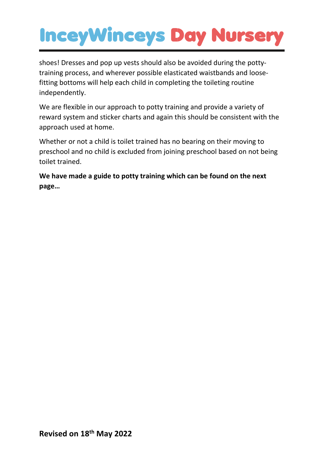## **InceyWinceys Day Nursery**

shoes! Dresses and pop up vests should also be avoided during the pottytraining process, and wherever possible elasticated waistbands and loosefitting bottoms will help each child in completing the toileting routine independently.

We are flexible in our approach to potty training and provide a variety of reward system and sticker charts and again this should be consistent with the approach used at home.

Whether or not a child is toilet trained has no bearing on their moving to preschool and no child is excluded from joining preschool based on not being toilet trained.

**We have made a guide to potty training which can be found on the next page…**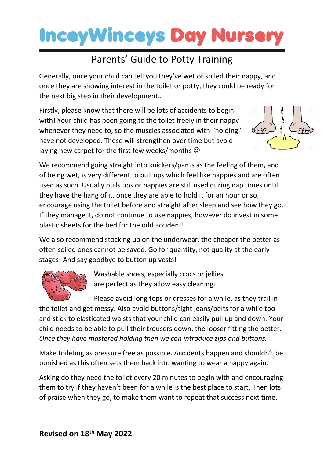### **InceyWinceys Day Nurse**

### Parents' Guide to Potty Training

Generally, once your child can tell you they've wet or soiled their nappy, and once they are showing interest in the toilet or potty, they could be ready for the next big step in their development…

Firstly, please know that there will be lots of accidents to begin with! Your child has been going to the toilet freely in their nappy whenever they need to, so the muscles associated with "holding" have not developed. These will strengthen over time but avoid laying new carpet for the first few weeks/months  $\odot$ 



We recommend going straight into knickers/pants as the feeling of them, and of being wet, is very different to pull ups which feel like nappies and are often used as such. Usually pulls ups or nappies are still used during nap times until they have the hang of it, once they are able to hold it for an hour or so, encourage using the toilet before and straight after sleep and see how they go. If they manage it, do not continue to use nappies, however do invest in some plastic sheets for the bed for the odd accident!

We also recommend stocking up on the underwear, the cheaper the better as often soiled ones cannot be saved. Go for quantity, not quality at the early stages! And say goodbye to button up vests!



Washable shoes, especially crocs or jellies are perfect as they allow easy cleaning.

Please avoid long tops or dresses for a while, as they trail in the toilet and get messy. Also avoid buttons/tight jeans/belts for a while too and stick to elasticated waists that your child can easily pull up and down. Your child needs to be able to pull their trousers down, the looser fitting the better. *Once they have mastered holding then we can introduce zips and buttons.*

Make toileting as pressure free as possible. Accidents happen and shouldn't be punished as this often sets them back into wanting to wear a nappy again.

Asking do they need the toilet every 20 minutes to begin with and encouraging them to try if they haven't been for a while is the best place to start. Then lots of praise when they go, to make them want to repeat that success next time.